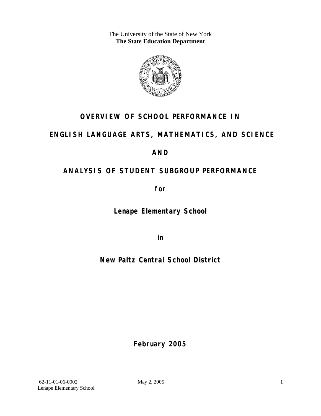The University of the State of New York **The State Education Department** 



### **OVERVIEW OF SCHOOL PERFORMANCE IN**

### **ENGLISH LANGUAGE ARTS, MATHEMATICS, AND SCIENCE**

### **AND**

### **ANALYSIS OF STUDENT SUBGROUP PERFORMANCE**

**for** 

**Lenape Elementary School**

**in** 

**New Paltz Central School District**

**February 2005**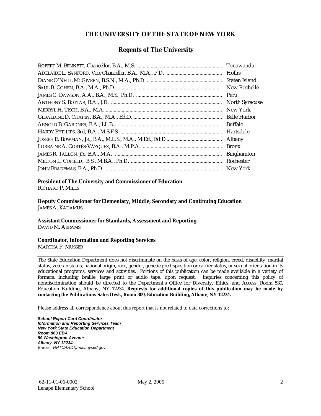#### **THE UNIVERSITY OF THE STATE OF NEW YORK**

#### **Regents of The University**

| Tonawanda             |
|-----------------------|
|                       |
| Staten Island         |
| New Rochelle          |
| Peru                  |
| <b>North Syracuse</b> |
| New York              |
| <b>Belle Harbor</b>   |
| <b>Buffalo</b>        |
| Hartsdale             |
| Albany                |
| <b>Bronx</b>          |
| <b>Binghamton</b>     |
|                       |
|                       |

### **President of The University and Commissioner of Education**

RICHARD P. MILLS

**Deputy Commissioner for Elementary, Middle, Secondary and Continuing Education**  JAMES A. KADAMUS

#### **Assistant Commissioner for Standards, Assessment and Reporting**  DAVID M. ABRAMS

**Coordinator, Information and Reporting Services** 

MARTHA P. MUSSER

The State Education Department does not discriminate on the basis of age, color, religion, creed, disability, marital status, veteran status, national origin, race, gender, genetic predisposition or carrier status, or sexual orientation in its educational programs, services and activities. Portions of this publication can be made available in a variety of formats, including braille, large print or audio tape, upon request. Inquiries concerning this policy of nondiscrimination should be directed to the Department's Office for Diversity, Ethics, and Access, Room 530, Education Building, Albany, NY 12234. **Requests for additional copies of this publication may be made by contacting the Publications Sales Desk, Room 309, Education Building, Albany, NY 12234.** 

Please address all correspondence about this report that is not related to data corrections to:

*School Report Card Coordinator Information and Reporting Services Team New York State Education Department Room 863 EBA 89 Washington Avenue Albany, NY 12234*  E-mail: *RPTCARD@mail.nysed.gov*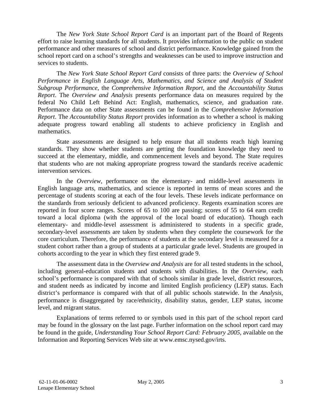The *New York State School Report Card* is an important part of the Board of Regents effort to raise learning standards for all students. It provides information to the public on student performance and other measures of school and district performance. Knowledge gained from the school report card on a school's strengths and weaknesses can be used to improve instruction and services to students.

The *New York State School Report Card* consists of three parts: the *Overview of School Performance in English Language Arts, Mathematics, and Science and Analysis of Student Subgroup Performance,* the *Comprehensive Information Report,* and the *Accountability Status Report*. The *Overview and Analysis* presents performance data on measures required by the federal No Child Left Behind Act: English, mathematics, science, and graduation rate. Performance data on other State assessments can be found in the *Comprehensive Information Report*. The *Accountability Status Report* provides information as to whether a school is making adequate progress toward enabling all students to achieve proficiency in English and mathematics.

State assessments are designed to help ensure that all students reach high learning standards. They show whether students are getting the foundation knowledge they need to succeed at the elementary, middle, and commencement levels and beyond. The State requires that students who are not making appropriate progress toward the standards receive academic intervention services.

In the *Overview*, performance on the elementary- and middle-level assessments in English language arts, mathematics, and science is reported in terms of mean scores and the percentage of students scoring at each of the four levels. These levels indicate performance on the standards from seriously deficient to advanced proficiency. Regents examination scores are reported in four score ranges. Scores of 65 to 100 are passing; scores of 55 to 64 earn credit toward a local diploma (with the approval of the local board of education). Though each elementary- and middle-level assessment is administered to students in a specific grade, secondary-level assessments are taken by students when they complete the coursework for the core curriculum. Therefore, the performance of students at the secondary level is measured for a student cohort rather than a group of students at a particular grade level. Students are grouped in cohorts according to the year in which they first entered grade 9.

The assessment data in the *Overview and Analysis* are for all tested students in the school, including general-education students and students with disabilities. In the *Overview*, each school's performance is compared with that of schools similar in grade level, district resources, and student needs as indicated by income and limited English proficiency (LEP) status. Each district's performance is compared with that of all public schools statewide. In the *Analysis*, performance is disaggregated by race/ethnicity, disability status, gender, LEP status, income level, and migrant status.

Explanations of terms referred to or symbols used in this part of the school report card may be found in the glossary on the last page. Further information on the school report card may be found in the guide, *Understanding Your School Report Card: February 2005*, available on the Information and Reporting Services Web site at www.emsc.nysed.gov/irts.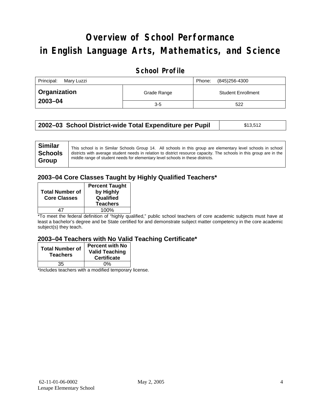# **Overview of School Performance in English Language Arts, Mathematics, and Science**

#### **School Profile**

| Principal:<br>Marv Luzzi | (845)256-4300<br>Phone: |                           |
|--------------------------|-------------------------|---------------------------|
| <b>□ Organization</b>    | Grade Range             | <b>Student Enrollment</b> |
| 2003-04                  | $3-5$                   | 522                       |

| 2002-03 School District-wide Total Expenditure per Pupil | \$13,512 |
|----------------------------------------------------------|----------|
|----------------------------------------------------------|----------|

### **2003–04 Core Classes Taught by Highly Qualified Teachers\***

| <b>Total Number of</b><br><b>Core Classes</b> | <b>Percent Taught</b><br>by Highly<br>Qualified<br><b>Teachers</b> |
|-----------------------------------------------|--------------------------------------------------------------------|
|                                               | 100%                                                               |

\*To meet the federal definition of "highly qualified," public school teachers of core academic subjects must have at least a bachelor's degree and be State certified for and demonstrate subject matter competency in the core academic subject(s) they teach.

#### **2003–04 Teachers with No Valid Teaching Certificate\***

| <b>Total Number of</b><br><b>Teachers</b> | <b>Percent with No</b><br><b>Valid Teaching</b><br><b>Certificate</b> |
|-------------------------------------------|-----------------------------------------------------------------------|
| 35                                        | 0%                                                                    |
| $\mathbf{A}$<br>$\cdots$                  |                                                                       |

\*Includes teachers with a modified temporary license.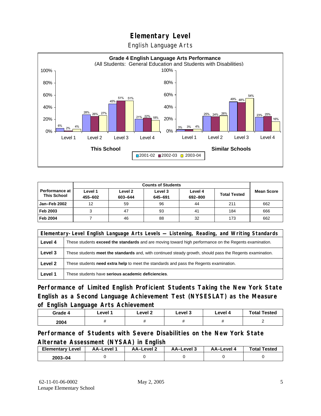English Language Arts



|                                             |                    | <b>Counts of Students</b> |                    |                    |                     |                   |
|---------------------------------------------|--------------------|---------------------------|--------------------|--------------------|---------------------|-------------------|
| <b>Performance at</b><br><b>This School</b> | Level 1<br>455-602 | Level 2<br>603-644        | Level 3<br>645-691 | Level 4<br>692-800 | <b>Total Tested</b> | <b>Mean Score</b> |
| Jan-Feb 2002                                | 12                 | 59                        | 96                 | 44                 | 211                 | 662               |
| Feb 2003                                    |                    | 47                        | 93                 | 41                 | 184                 | 666               |
| <b>Feb 2004</b>                             |                    | 46                        | 88                 | 32                 | 173                 | 662               |

| Elementary-Level English Language Arts Levels — Listening, Reading, and Writing Standards |                                                                                                           |  |  |
|-------------------------------------------------------------------------------------------|-----------------------------------------------------------------------------------------------------------|--|--|
| Level 4                                                                                   | These students exceed the standards and are moving toward high performance on the Regents examination.    |  |  |
| Level 3                                                                                   | These students meet the standards and, with continued steady growth, should pass the Regents examination. |  |  |
| Level 2                                                                                   | These students <b>need extra help</b> to meet the standards and pass the Regents examination.             |  |  |
| Level 1                                                                                   | These students have serious academic deficiencies.                                                        |  |  |

**Performance of Limited English Proficient Students Taking the New York State English as a Second Language Achievement Test (NYSESLAT) as the Measure of English Language Arts Achievement**

| Grade 4 | Level 1 | Level 2 | Level 3 | Level 4 | <b>Total Tested</b> |
|---------|---------|---------|---------|---------|---------------------|
| 2004    |         |         | ,,      |         |                     |

**Performance of Students with Severe Disabilities on the New York State Alternate Assessment (NYSAA) in English** 

| <b>Elementary Level</b> | AA-Level | AA-Level 2 | AA-Level 3 | AA–Level 4 | <b>Total Tested</b> |
|-------------------------|----------|------------|------------|------------|---------------------|
| $2003 - 04$             |          |            |            |            |                     |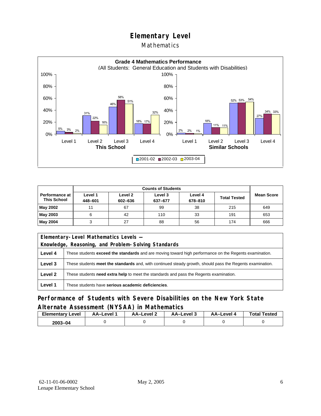#### Mathematics



|                                      |                    | <b>Counts of Students</b> |                    |                    |                     |                   |
|--------------------------------------|--------------------|---------------------------|--------------------|--------------------|---------------------|-------------------|
| Performance at<br><b>This School</b> | Level 1<br>448-601 | Level 2<br>602-636        | Level 3<br>637-677 | Level 4<br>678-810 | <b>Total Tested</b> | <b>Mean Score</b> |
| May 2002                             | 11                 | 67                        | 99                 | 38                 | 215                 | 649               |
| May 2003                             | 6                  | 42                        | 110                | 33                 | 191                 | 653               |
| May 2004                             |                    | 27                        | 88                 | 56                 | 174                 | 666               |

| Elementary-Level Mathematics Levels - |                                                                                                               |  |  |
|---------------------------------------|---------------------------------------------------------------------------------------------------------------|--|--|
|                                       | Knowledge, Reasoning, and Problem-Solving Standards                                                           |  |  |
| Level 4                               | These students <b>exceed the standards</b> and are moving toward high performance on the Regents examination. |  |  |
| Level 3                               | These students meet the standards and, with continued steady growth, should pass the Regents examination.     |  |  |
| Level 2                               | These students <b>need extra help</b> to meet the standards and pass the Regents examination.                 |  |  |
| Level 1                               | These students have serious academic deficiencies.                                                            |  |  |

### **Performance of Students with Severe Disabilities on the New York State Alternate Assessment (NYSAA) in Mathematics**

| <b>Elementary</b><br>Level | AA-Level | AA-Level 2 | AA-Level 3 | AA-Level 4 | <b>Total Tested</b> |
|----------------------------|----------|------------|------------|------------|---------------------|
| $2003 - 04$                |          |            |            |            |                     |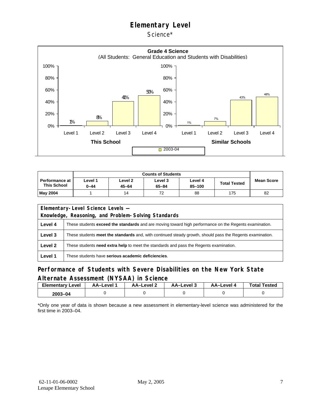Science\*



|                                             | <b>Counts of Students</b> |                      |                      |                   |                     |                   |  |  |
|---------------------------------------------|---------------------------|----------------------|----------------------|-------------------|---------------------|-------------------|--|--|
| <b>Performance at</b><br><b>This School</b> | evel 1-<br>$0 - 44$       | Level 2<br>$45 - 64$ | Level 3<br>$65 - 84$ | Level 4<br>85-100 | <b>Total Tested</b> | <b>Mean Score</b> |  |  |
| May 2004                                    |                           | 14                   | 72                   | 88                | 175                 | 82                |  |  |

| Elementary-Level Science Levels -                   |                                                                                                               |  |  |  |  |  |  |
|-----------------------------------------------------|---------------------------------------------------------------------------------------------------------------|--|--|--|--|--|--|
| Knowledge, Reasoning, and Problem-Solving Standards |                                                                                                               |  |  |  |  |  |  |
| Level 4                                             | These students <b>exceed the standards</b> and are moving toward high performance on the Regents examination. |  |  |  |  |  |  |
| Level 3                                             | These students meet the standards and, with continued steady growth, should pass the Regents examination.     |  |  |  |  |  |  |
| Level 2                                             | These students need extra help to meet the standards and pass the Regents examination.                        |  |  |  |  |  |  |
| Level 1                                             | These students have serious academic deficiencies.                                                            |  |  |  |  |  |  |

#### **Performance of Students with Severe Disabilities on the New York State Alternate Assessment (NYSAA) in Science**

| Elementarv<br>Level | AA–Level | <b>AA-Level 2</b> | د AA–Level | AA-Level 4 | <b>Total Tested</b> |
|---------------------|----------|-------------------|------------|------------|---------------------|
| 2003-04             |          |                   |            |            |                     |

\*Only one year of data is shown because a new assessment in elementary-level science was administered for the first time in 2003–04.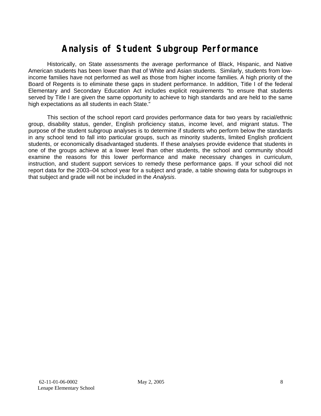## **Analysis of Student Subgroup Performance**

Historically, on State assessments the average performance of Black, Hispanic, and Native American students has been lower than that of White and Asian students. Similarly, students from lowincome families have not performed as well as those from higher income families. A high priority of the Board of Regents is to eliminate these gaps in student performance. In addition, Title I of the federal Elementary and Secondary Education Act includes explicit requirements "to ensure that students served by Title I are given the same opportunity to achieve to high standards and are held to the same high expectations as all students in each State."

This section of the school report card provides performance data for two years by racial/ethnic group, disability status, gender, English proficiency status, income level, and migrant status. The purpose of the student subgroup analyses is to determine if students who perform below the standards in any school tend to fall into particular groups, such as minority students, limited English proficient students, or economically disadvantaged students. If these analyses provide evidence that students in one of the groups achieve at a lower level than other students, the school and community should examine the reasons for this lower performance and make necessary changes in curriculum, instruction, and student support services to remedy these performance gaps. If your school did not report data for the 2003–04 school year for a subject and grade, a table showing data for subgroups in that subject and grade will not be included in the *Analysis*.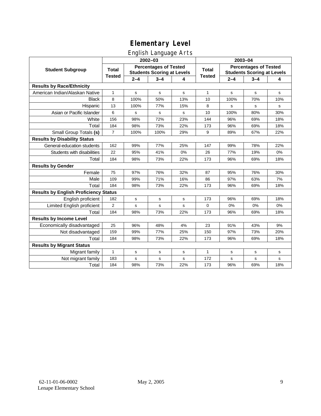### English Language Arts

|                                              |                |                                                                   | ັ<br>2002-03 |     | 2003-04       |                                                                   |         |     |  |
|----------------------------------------------|----------------|-------------------------------------------------------------------|--------------|-----|---------------|-------------------------------------------------------------------|---------|-----|--|
| <b>Student Subgroup</b>                      | <b>Total</b>   | <b>Percentages of Tested</b><br><b>Students Scoring at Levels</b> |              |     | <b>Total</b>  | <b>Percentages of Tested</b><br><b>Students Scoring at Levels</b> |         |     |  |
|                                              | <b>Tested</b>  | $2 - 4$                                                           | $3 - 4$      | 4   | <b>Tested</b> | $2 - 4$                                                           | $3 - 4$ | 4   |  |
| <b>Results by Race/Ethnicity</b>             |                |                                                                   |              |     |               |                                                                   |         |     |  |
| American Indian/Alaskan Native               | 1              | $\mathbf s$                                                       | s            | s   | $\mathbf{1}$  | $\mathbf s$                                                       | s       | s   |  |
| <b>Black</b>                                 | 8              | 100%                                                              | 50%          | 13% | 10            | 100%                                                              | 70%     | 10% |  |
| Hispanic                                     | 13             | 100%                                                              | 77%          | 15% | 8             | s                                                                 | s       | s   |  |
| Asian or Pacific Islander                    | 6              | s                                                                 | s            | s   | 10            | 100%                                                              | 80%     | 30% |  |
| White                                        | 156            | 98%                                                               | 72%          | 23% | 144           | 96%                                                               | 69%     | 18% |  |
| Total                                        | 184            | 98%                                                               | 73%          | 22% | 173           | 96%                                                               | 69%     | 18% |  |
| Small Group Totals (s)                       | $\overline{7}$ | 100%                                                              | 100%         | 29% | 9             | 89%                                                               | 67%     | 22% |  |
| <b>Results by Disability Status</b>          |                |                                                                   |              |     |               |                                                                   |         |     |  |
| General-education students                   | 162            | 99%                                                               | 77%          | 25% | 147           | 99%                                                               | 78%     | 22% |  |
| Students with disabilities                   | 22             | 95%                                                               | 41%          | 0%  | 26            | 77%                                                               | 19%     | 0%  |  |
| Total                                        | 184            | 98%                                                               | 73%          | 22% | 173           | 96%                                                               | 69%     | 18% |  |
| <b>Results by Gender</b>                     |                |                                                                   |              |     |               |                                                                   |         |     |  |
| Female                                       | 75             | 97%                                                               | 76%          | 32% | 87            | 95%                                                               | 76%     | 30% |  |
| Male                                         | 109            | 99%                                                               | 71%          | 16% | 86            | 97%                                                               | 63%     | 7%  |  |
| Total                                        | 184            | 98%                                                               | 73%          | 22% | 173           | 96%                                                               | 69%     | 18% |  |
| <b>Results by English Proficiency Status</b> |                |                                                                   |              |     |               |                                                                   |         |     |  |
| English proficient                           | 182            | $\mathbf s$                                                       | $\mathbf s$  | s   | 173           | 96%                                                               | 69%     | 18% |  |
| Limited English proficient                   | $\overline{2}$ | s                                                                 | $\mathbf s$  | s   | 0             | 0%                                                                | 0%      | 0%  |  |
| Total                                        | 184            | 98%                                                               | 73%          | 22% | 173           | 96%                                                               | 69%     | 18% |  |
| <b>Results by Income Level</b>               |                |                                                                   |              |     |               |                                                                   |         |     |  |
| Economically disadvantaged                   | 25             | 96%                                                               | 48%          | 4%  | 23            | 91%                                                               | 43%     | 9%  |  |
| Not disadvantaged                            | 159            | 99%                                                               | 77%          | 25% | 150           | 97%                                                               | 73%     | 20% |  |
| Total                                        | 184            | 98%                                                               | 73%          | 22% | 173           | 96%                                                               | 69%     | 18% |  |
| <b>Results by Migrant Status</b>             |                |                                                                   |              |     |               |                                                                   |         |     |  |
| Migrant family                               | 1              | s                                                                 | s            | s   | 1             | s                                                                 | s       | s   |  |
| Not migrant family                           | 183            | s                                                                 | s            | s   | 172           | s                                                                 | s       | s   |  |
| Total                                        | 184            | 98%                                                               | 73%          | 22% | 173           | 96%                                                               | 69%     | 18% |  |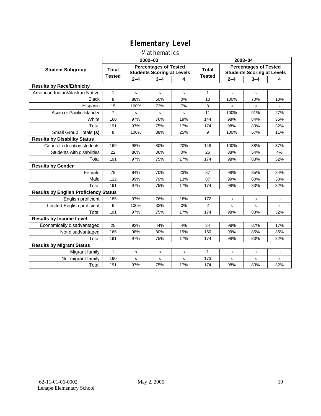### Mathematics

|                                              |                |                                                                   | 2002-03     |     | 2003-04       |                                                                   |         |             |
|----------------------------------------------|----------------|-------------------------------------------------------------------|-------------|-----|---------------|-------------------------------------------------------------------|---------|-------------|
| <b>Student Subgroup</b>                      | <b>Total</b>   | <b>Percentages of Tested</b><br><b>Students Scoring at Levels</b> |             |     | <b>Total</b>  | <b>Percentages of Tested</b><br><b>Students Scoring at Levels</b> |         |             |
|                                              | <b>Tested</b>  | $2 - 4$                                                           | $3 - 4$     | 4   | <b>Tested</b> | $2 - 4$                                                           | $3 - 4$ | 4           |
| <b>Results by Race/Ethnicity</b>             |                |                                                                   |             |     |               |                                                                   |         |             |
| American Indian/Alaskan Native               | 1              | s                                                                 | s           | s   | $\mathbf{1}$  | s                                                                 | s       | s           |
| <b>Black</b>                                 | 8              | 88%                                                               | 50%         | 0%  | 10            | 100%                                                              | 70%     | 10%         |
| Hispanic                                     | 15             | 100%                                                              | 73%         | 7%  | 8             | s                                                                 | s       | s           |
| Asian or Pacific Islander                    | $\overline{7}$ | s                                                                 | s           | s   | 11            | 100%                                                              | 91%     | 27%         |
| White                                        | 160            | 97%                                                               | 76%         | 19% | 144           | 98%                                                               | 84%     | 35%         |
| Total                                        | 191            | 97%                                                               | 75%         | 17% | 174           | 98%                                                               | 83%     | 32%         |
| Small Group Totals (s)                       | 8              | 100%                                                              | 88%         | 25% | 9             | 100%                                                              | 67%     | 11%         |
| <b>Results by Disability Status</b>          |                |                                                                   |             |     |               |                                                                   |         |             |
| General-education students                   | 169            | 98%                                                               | 80%         | 20% | 148           | 100%                                                              | 88%     | 37%         |
| Students with disabilities                   | 22             | 86%                                                               | 36%         | 0%  | 26            | 88%                                                               | 54%     | 4%          |
| Total                                        | 191            | 97%                                                               | 75%         | 17% | 174           | 98%                                                               | 83%     | 32%         |
| <b>Results by Gender</b>                     |                |                                                                   |             |     |               |                                                                   |         |             |
| Female                                       | 79             | 94%                                                               | 70%         | 23% | 87            | 98%                                                               | 85%     | 34%         |
| Male                                         | 112            | 99%                                                               | 79%         | 13% | 87            | 99%                                                               | 80%     | 30%         |
| Total                                        | 191            | 97%                                                               | 75%         | 17% | 174           | 98%                                                               | 83%     | 32%         |
| <b>Results by English Proficiency Status</b> |                |                                                                   |             |     |               |                                                                   |         |             |
| English proficient                           | 185            | 97%                                                               | 76%         | 18% | 172           | s                                                                 | s       | s           |
| Limited English proficient                   | 6              | 100%                                                              | 33%         | 0%  | 2             | $\mathbf s$                                                       | s       | $\mathbf s$ |
| Total                                        | 191            | 97%                                                               | 75%         | 17% | 174           | 98%                                                               | 83%     | 32%         |
| <b>Results by Income Level</b>               |                |                                                                   |             |     |               |                                                                   |         |             |
| Economically disadvantaged                   | 25             | 92%                                                               | 44%         | 4%  | 24            | 96%                                                               | 67%     | 17%         |
| Not disadvantaged                            | 166            | 98%                                                               | 80%         | 19% | 150           | 99%                                                               | 85%     | 35%         |
| Total                                        | 191            | 97%                                                               | 75%         | 17% | 174           | 98%                                                               | 83%     | 32%         |
| <b>Results by Migrant Status</b>             |                |                                                                   |             |     |               |                                                                   |         |             |
| Migrant family                               | 1              | s                                                                 | $\mathbf s$ | s   | $\mathbf{1}$  | s                                                                 | s       | s           |
| Not migrant family                           | 190            | s                                                                 | s           | s   | 173           | s                                                                 | s       | s           |
| Total                                        | 191            | 97%                                                               | 75%         | 17% | 174           | 98%                                                               | 83%     | 32%         |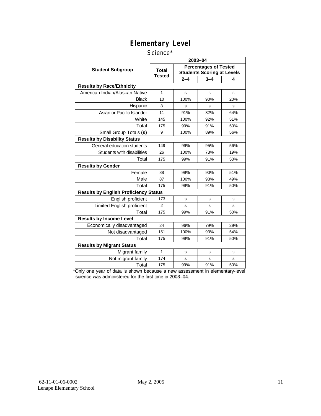#### Science\*

|                                              | 2003-04                |                                                                   |         |     |  |  |  |
|----------------------------------------------|------------------------|-------------------------------------------------------------------|---------|-----|--|--|--|
| <b>Student Subgroup</b>                      | <b>Total</b><br>Tested | <b>Percentages of Tested</b><br><b>Students Scoring at Levels</b> |         |     |  |  |  |
|                                              |                        | $2 - 4$                                                           | $3 - 4$ | 4   |  |  |  |
| <b>Results by Race/Ethnicity</b>             |                        |                                                                   |         |     |  |  |  |
| American Indian/Alaskan Native               | 1                      | s                                                                 | s       | s   |  |  |  |
| Black                                        | 10                     | 100%                                                              | 90%     | 20% |  |  |  |
| Hispanic                                     | 8                      | S                                                                 | s       | s   |  |  |  |
| Asian or Pacific Islander                    | 11                     | 91%                                                               |         | 64% |  |  |  |
| White                                        | 145                    | 100%                                                              | 92%     | 51% |  |  |  |
| Total                                        | 175                    | 99%                                                               | 91%     | 50% |  |  |  |
| Small Group Totals (s)                       | 9                      | 100%                                                              | 89%     | 56% |  |  |  |
| <b>Results by Disability Status</b>          |                        |                                                                   |         |     |  |  |  |
| General-education students                   | 149                    | 99%                                                               | 95%     | 56% |  |  |  |
| Students with disabilities                   | 26                     | 100%                                                              | 73%     | 19% |  |  |  |
| Total                                        | 175                    | 99%                                                               | 91%     | 50% |  |  |  |
| <b>Results by Gender</b>                     |                        |                                                                   |         |     |  |  |  |
| Female                                       | 88                     | 99%                                                               | 90%     | 51% |  |  |  |
| Male                                         | 87                     | 100%                                                              | 93%     | 49% |  |  |  |
| Total                                        | 175                    | 99%                                                               | 91%     | 50% |  |  |  |
| <b>Results by English Proficiency Status</b> |                        |                                                                   |         |     |  |  |  |
| English proficient                           | 173                    | s                                                                 | s       | s   |  |  |  |
| Limited English proficient                   | $\overline{2}$         | S                                                                 | s       | s   |  |  |  |
| Total                                        | 175                    | 99%                                                               | 91%     | 50% |  |  |  |
| <b>Results by Income Level</b>               |                        |                                                                   |         |     |  |  |  |
| Economically disadvantaged                   | 24                     | 96%                                                               | 79%     | 29% |  |  |  |
| Not disadvantaged                            | 151                    | 100%                                                              | 93%     | 54% |  |  |  |
| Total                                        | 175                    | 99%                                                               | 91%     | 50% |  |  |  |
| <b>Results by Migrant Status</b>             |                        |                                                                   |         |     |  |  |  |
| Migrant family                               | 1                      | s                                                                 | s       | s   |  |  |  |
| Not migrant family                           | 174                    | s                                                                 | s       | s   |  |  |  |
| Total                                        | 175                    | 99%                                                               | 91%     | 50% |  |  |  |

\*Only one year of data is shown because a new assessment in elementary-level science was administered for the first time in 2003–04.